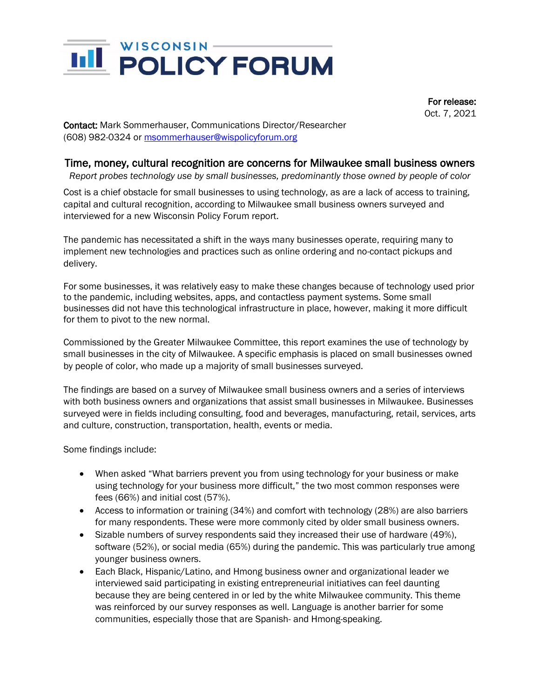

 For release: Oct. 7, 2021

Contact: Mark Sommerhauser, Communications Director/Researcher (608) 982-0324 or [msommerhauser@wispolicyforum.org](mailto:msommerhauser@wispolicyforum.org)

## Time, money, cultural recognition are concerns for Milwaukee small business owners

*Report probes technology use by small businesses, predominantly those owned by people of color*

Cost is a chief obstacle for small businesses to using technology, as are a lack of access to training, capital and cultural recognition, according to Milwaukee small business owners surveyed and interviewed for a new Wisconsin Policy Forum report.

The pandemic has necessitated a shift in the ways many businesses operate, requiring many to implement new technologies and practices such as online ordering and no-contact pickups and delivery.

For some businesses, it was relatively easy to make these changes because of technology used prior to the pandemic, including websites, apps, and contactless payment systems. Some small businesses did not have this technological infrastructure in place, however, making it more difficult for them to pivot to the new normal.

Commissioned by the Greater Milwaukee Committee, this report examines the use of technology by small businesses in the city of Milwaukee. A specific emphasis is placed on small businesses owned by people of color, who made up a majority of small businesses surveyed.

The findings are based on a survey of Milwaukee small business owners and a series of interviews with both business owners and organizations that assist small businesses in Milwaukee. Businesses surveyed were in fields including consulting, food and beverages, manufacturing, retail, services, arts and culture, construction, transportation, health, events or media.

Some findings include:

- When asked "What barriers prevent you from using technology for your business or make using technology for your business more difficult," the two most common responses were fees (66%) and initial cost (57%).
- Access to information or training (34%) and comfort with technology (28%) are also barriers for many respondents. These were more commonly cited by older small business owners.
- Sizable numbers of survey respondents said they increased their use of hardware (49%), software (52%), or social media (65%) during the pandemic. This was particularly true among younger business owners.
- Each Black, Hispanic/Latino, and Hmong business owner and organizational leader we interviewed said participating in existing entrepreneurial initiatives can feel daunting because they are being centered in or led by the white Milwaukee community. This theme was reinforced by our survey responses as well. Language is another barrier for some communities, especially those that are Spanish- and Hmong-speaking.